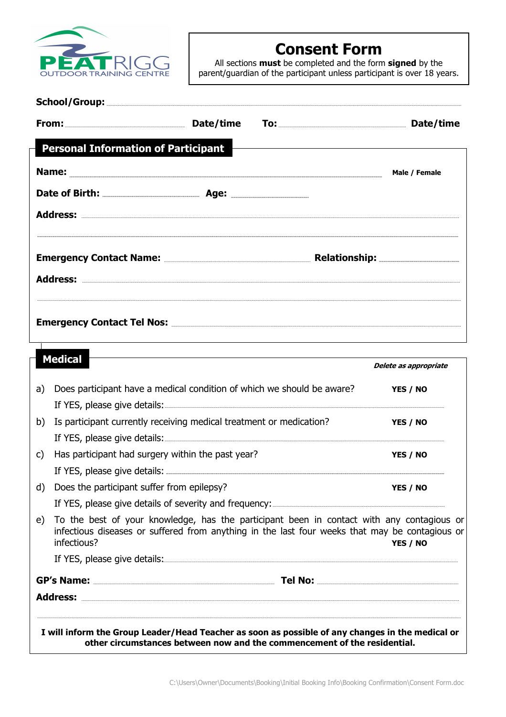

# Consent Form

All sections **must** be completed and the form signed by the parent/guardian of the participant unless participant is over 18 years.

|    |                                                                                                                                                                                                                                                                                                            |  | Date/time             |
|----|------------------------------------------------------------------------------------------------------------------------------------------------------------------------------------------------------------------------------------------------------------------------------------------------------------|--|-----------------------|
|    | <b>Personal Information of Participant</b>                                                                                                                                                                                                                                                                 |  |                       |
|    |                                                                                                                                                                                                                                                                                                            |  | Male / Female         |
|    |                                                                                                                                                                                                                                                                                                            |  |                       |
|    |                                                                                                                                                                                                                                                                                                            |  |                       |
|    | Emergency Contact Name: <b>Emergency Contact Name:</b> 2014.000 and 2015.000 and 2016.000 and 2016.000 and 2016.000 and 2016.000 and 2016.000 and 2016.000 and 2016.000 and 2016.000 and 2016.000 and 2016.000 and 2016.000 and 201                                                                        |  |                       |
|    |                                                                                                                                                                                                                                                                                                            |  |                       |
|    |                                                                                                                                                                                                                                                                                                            |  |                       |
|    | <b>Medical</b>                                                                                                                                                                                                                                                                                             |  | Delete as appropriate |
| a) | Does participant have a medical condition of which we should be aware?                                                                                                                                                                                                                                     |  | YES / NO              |
|    | If YES, please give details: <b>All any Constant Constant Constant Constant Constant Constant Constant Constant Constant Constant Constant Constant Constant Constant Constant Constant Constant Constant Constant Constant Cons</b>                                                                       |  |                       |
| b) | Is participant currently receiving medical treatment or medication?<br>If YES, please give details: <b>All and Security Assembly</b> The Security Assembly The Security Assembly The Security Assembly The Security Assembly The Security Assembly The Security Assembly The Security Assembly The Securit |  | YES / NO              |
| C) | Has participant had surgery within the past year?                                                                                                                                                                                                                                                          |  | YES / NO              |
|    |                                                                                                                                                                                                                                                                                                            |  |                       |
| d) | Does the participant suffer from epilepsy?                                                                                                                                                                                                                                                                 |  | YES / NO              |
|    |                                                                                                                                                                                                                                                                                                            |  |                       |
| e) | To the best of your knowledge, has the participant been in contact with any contagious or<br>infectious diseases or suffered from anything in the last four weeks that may be contagious or<br>infectious?                                                                                                 |  | YES / NO              |
|    | If YES, please give details: www.assettimation.com/state-organisms.com/state-organisms.com/state-organisms.com/                                                                                                                                                                                            |  |                       |
|    |                                                                                                                                                                                                                                                                                                            |  |                       |
|    |                                                                                                                                                                                                                                                                                                            |  |                       |